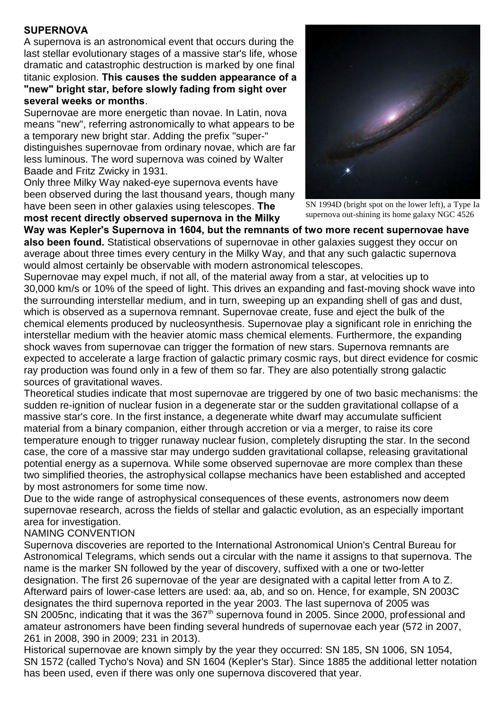# **SUPERNOVA**

A supernova is an astronomical event that occurs during the last stellar evolutionary stages of a massive star's life, whose dramatic and catastrophic destruction is marked by one final titanic explosion. **This causes the sudden appearance of a "new" bright star, before slowly fading from sight over several weeks or months**.

Supernovae are more energetic than novae. In Latin, nova means "new", referring astronomically to what appears to be a temporary new bright star. Adding the prefix "super-" distinguishes supernovae from ordinary novae, which are far less luminous. The word supernova was coined by Walter Baade and Fritz Zwicky in 1931.

Only three Milky Way naked-eye supernova events have been observed during the last thousand years, though many have been seen in other galaxies using telescopes. **The most recent directly observed supernova in the Milky**



SN 1994D (bright spot on the lower left), a Type Ia supernova out-shining its home galaxy NGC 4526

**Way was Kepler's Supernova in 1604, but the remnants of two more recent supernovae have also been found.** Statistical observations of supernovae in other galaxies suggest they occur on average about three times every century in the Milky Way, and that any such galactic supernova would almost certainly be observable with modern astronomical telescopes.

Supernovae may expel much, if not all, of the material away from a star, at velocities up to 30,000 km/s or 10% of the speed of light. This drives an expanding and fast-moving shock wave into the surrounding interstellar medium, and in turn, sweeping up an expanding shell of gas and dust, which is observed as a supernova remnant. Supernovae create, fuse and eject the bulk of the chemical elements produced by nucleosynthesis. Supernovae play a significant role in enriching the interstellar medium with the heavier atomic mass chemical elements. Furthermore, the expanding shock waves from supernovae can trigger the formation of new stars. Supernova remnants are expected to accelerate a large fraction of galactic primary cosmic rays, but direct evidence for cosmic ray production was found only in a few of them so far. They are also potentially strong galactic sources of gravitational waves.

Theoretical studies indicate that most supernovae are triggered by one of two basic mechanisms: the sudden re-ignition of nuclear fusion in a degenerate star or the sudden gravitational collapse of a massive star's core. In the first instance, a degenerate white dwarf may accumulate sufficient material from a binary companion, either through accretion or via a merger, to raise its core temperature enough to trigger runaway nuclear fusion, completely disrupting the star. In the second case, the core of a massive star may undergo sudden gravitational collapse, releasing gravitational potential energy as a supernova. While some observed supernovae are more complex than these two simplified theories, the astrophysical collapse mechanics have been established and accepted by most astronomers for some time now.

Due to the wide range of astrophysical consequences of these events, astronomers now deem supernovae research, across the fields of stellar and galactic evolution, as an especially important area for investigation.

### NAMING CONVENTION

Supernova discoveries are reported to the International Astronomical Union's Central Bureau for Astronomical Telegrams, which sends out a circular with the name it assigns to that supernova. The name is the marker SN followed by the year of discovery, suffixed with a one or two-letter designation. The first 26 supernovae of the year are designated with a capital letter from A to Z. Afterward pairs of lower-case letters are used: aa, ab, and so on. Hence, for example, SN 2003C designates the third supernova reported in the year 2003. The last supernova of 2005 was SN 2005nc, indicating that it was the 367<sup>th</sup> supernova found in 2005. Since 2000, professional and amateur astronomers have been finding several hundreds of supernovae each year (572 in 2007, 261 in 2008, 390 in 2009; 231 in 2013).

Historical supernovae are known simply by the year they occurred: SN 185, SN 1006, SN 1054, SN 1572 (called Tycho's Nova) and SN 1604 (Kepler's Star). Since 1885 the additional letter notation has been used, even if there was only one supernova discovered that year.